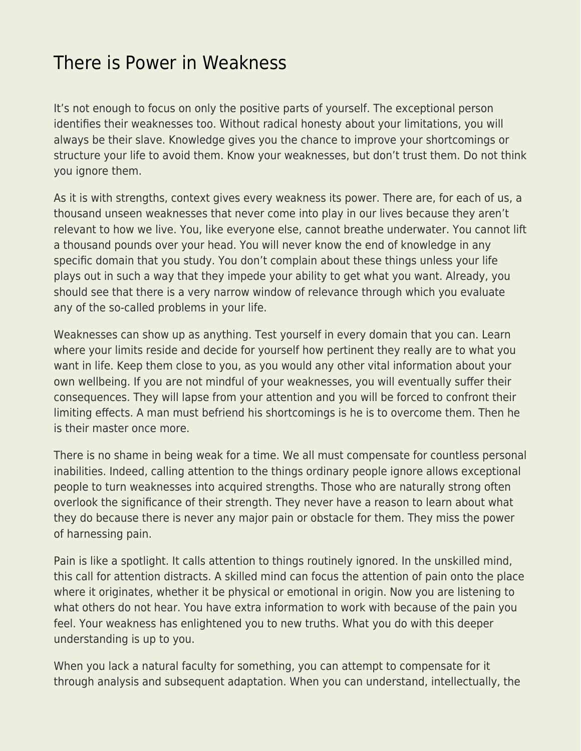## [There is Power in Weakness](https://everything-voluntary.com/there-is-power-in-weakness)

It's not enough to focus on only the positive parts of yourself. The exceptional person identifies their weaknesses too. Without radical honesty about your limitations, you will always be their slave. Knowledge gives you the chance to improve your shortcomings or structure your life to avoid them. Know your weaknesses, but don't trust them. Do not think you ignore them.

As it is with strengths, context gives every weakness its power. There are, for each of us, a thousand unseen weaknesses that never come into play in our lives because they aren't relevant to how we live. You, like everyone else, cannot breathe underwater. You cannot lift a thousand pounds over your head. You will never know the end of knowledge in any specific domain that you study. You don't complain about these things unless your life plays out in such a way that they impede your ability to get what you want. Already, you should see that there is a very narrow window of relevance through which you evaluate any of the so-called problems in your life.

Weaknesses can show up as anything. Test yourself in every domain that you can. Learn where your limits reside and decide for yourself how pertinent they really are to what you want in life. Keep them close to you, as you would any other vital information about your own wellbeing. If you are not mindful of your weaknesses, you will eventually suffer their consequences. They will lapse from your attention and you will be forced to confront their limiting effects. A man must befriend his shortcomings is he is to overcome them. Then he is their master once more.

There is no shame in being weak for a time. We all must compensate for countless personal inabilities. Indeed, calling attention to the things ordinary people ignore allows exceptional people to turn weaknesses into acquired strengths. Those who are naturally strong often overlook the significance of their strength. They never have a reason to learn about what they do because there is never any major pain or obstacle for them. They miss the power of harnessing pain.

Pain is like a spotlight. It calls attention to things routinely ignored. In the unskilled mind, this call for attention distracts. A skilled mind can focus the attention of pain onto the place where it originates, whether it be physical or emotional in origin. Now you are listening to what others do not hear. You have extra information to work with because of the pain you feel. Your weakness has enlightened you to new truths. What you do with this deeper understanding is up to you.

When you lack a natural faculty for something, you can attempt to compensate for it through analysis and subsequent adaptation. When you can understand, intellectually, the